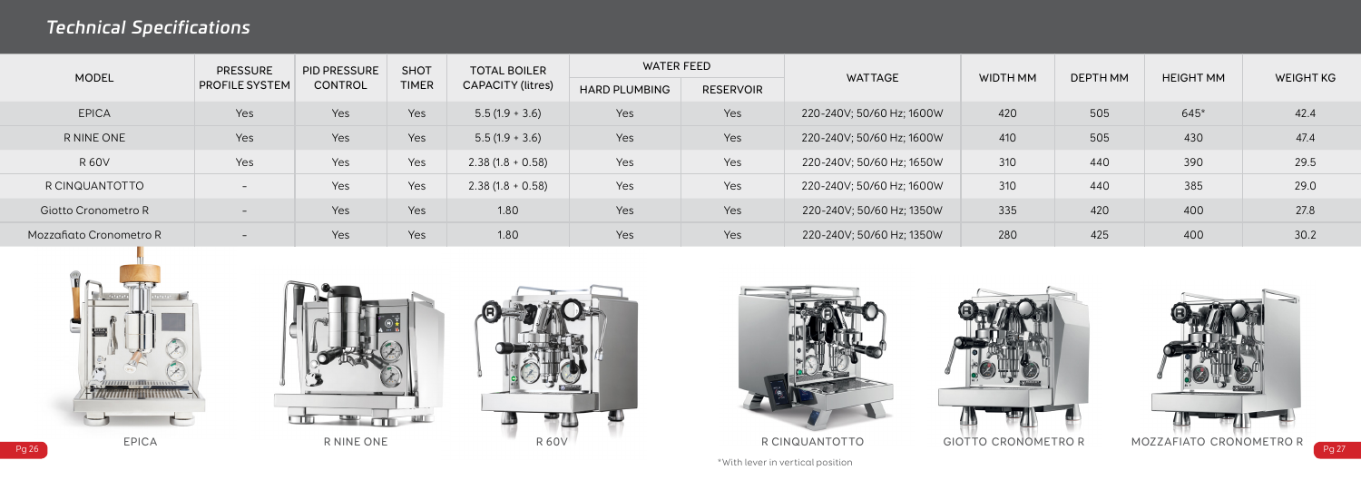









| <b>MODEL</b>               | <b>PRESSURE</b><br>PROFILE SYSTEM | PID PRESSURE<br><b>CONTROL</b> | <b>SHOT</b><br><b>TIMER</b> | <b>TOTAL BOILER</b><br>CAPACITY (litres) | WATER FEED           |                  | <b>WATTAGE</b>            | WIDTH MM | DEPTH MM | <b>HEIGHT MM</b> | <b>WEIGHT KG</b> |
|----------------------------|-----------------------------------|--------------------------------|-----------------------------|------------------------------------------|----------------------|------------------|---------------------------|----------|----------|------------------|------------------|
|                            |                                   |                                |                             |                                          | <b>HARD PLUMBING</b> | <b>RESERVOIR</b> |                           |          |          |                  |                  |
| <b>EPICA</b>               | Yes                               | Yes                            | Yes                         | $5.5(1.9 + 3.6)$                         | Yes                  | Yes              | 220-240V; 50/60 Hz; 1600W | 420      | 505      | $645*$           | 42.4             |
| R NINE ONE                 | Yes                               | Yes                            | Yes                         | $5.5(1.9 + 3.6)$                         | Yes                  | Yes              | 220-240V; 50/60 Hz; 1600W | 410      | 505      | 430              | 47.4             |
| <b>R60V</b>                | Yes                               | Yes                            | Yes                         | $2.38(1.8 + 0.58)$                       | Yes                  | Yes              | 220-240V; 50/60 Hz; 1650W | 310      | 440      | 390              | 29.5             |
| R CINQUANTOTTO             | $\overline{\phantom{0}}$          | Yes                            | Yes                         | $2.38(1.8 + 0.58)$                       | Yes                  | Yes              | 220-240V; 50/60 Hz; 1600W | 310      | 440      | 385              | 29.0             |
| <b>Giotto Cronometro R</b> | $\overline{\phantom{0}}$          | Yes                            | Yes                         | 1.80                                     | Yes                  | Yes              | 220-240V; 50/60 Hz; 1350W | 335      | 420      | 400              | 27.8             |
| Mozzafiato Cronometro R    | $\overline{\phantom{0}}$          | Yes                            | Yes                         | 1.80                                     | Yes                  | Yes              | 220-240V; 50/60 Hz; 1350W | 280      | 425      | 400              | 30.2             |





## *Technical Specifications*